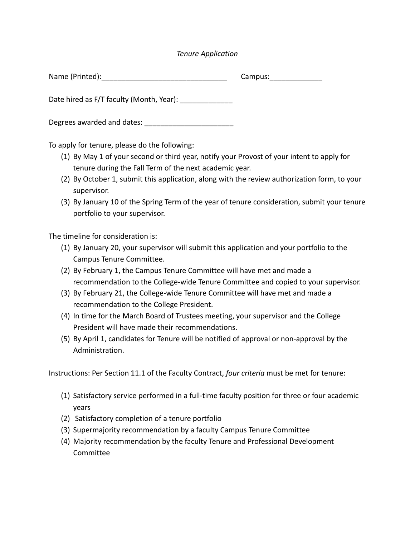## *Tenure Application*

| Name (Printed):                          | Campus: |
|------------------------------------------|---------|
| Date hired as F/T faculty (Month, Year): |         |
| Degrees awarded and dates:               |         |

To apply for tenure, please do the following:

- (1) By May 1 of your second or third year, notify your Provost of your intent to apply for tenure during the Fall Term of the next academic year.
- (2) By October 1, submit this application, along with the review authorization form, to your supervisor.
- (3) By January 10 of the Spring Term of the year of tenure consideration, submit your tenure portfolio to your supervisor.

The timeline for consideration is:

- (1) By January 20, your supervisor will submit this application and your portfolio to the Campus Tenure Committee.
- (2) By February 1, the Campus Tenure Committee will have met and made a recommendation to the College-wide Tenure Committee and copied to your supervisor.
- (3) By February 21, the College-wide Tenure Committee will have met and made a recommendation to the College President.
- (4) In time for the March Board of Trustees meeting, your supervisor and the College President will have made their recommendations.
- (5) By April 1, candidates for Tenure will be notified of approval or non-approval by the Administration.

Instructions: Per Section 11.1 of the Faculty Contract, *four criteria* must be met for tenure:

- (1) Satisfactory service performed in a full-time faculty position for three or four academic years
- (2) Satisfactory completion of a tenure portfolio
- (3) Supermajority recommendation by a faculty Campus Tenure Committee
- (4) Majority recommendation by the faculty Tenure and Professional Development Committee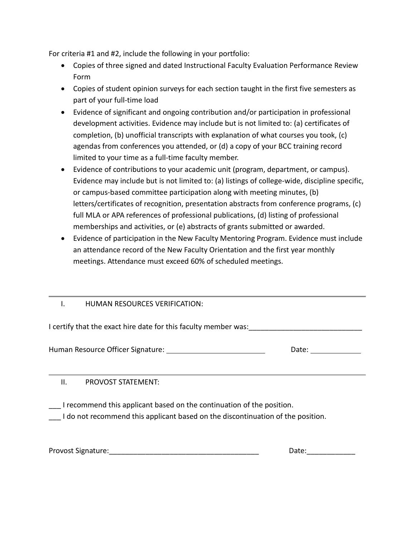For criteria #1 and #2, include the following in your portfolio:

- Copies of three signed and dated Instructional Faculty Evaluation Performance Review Form
- Copies of student opinion surveys for each section taught in the first five semesters as part of your full-time load
- Evidence of significant and ongoing contribution and/or participation in professional development activities. Evidence may include but is not limited to: (a) certificates of completion, (b) unofficial transcripts with explanation of what courses you took, (c) agendas from conferences you attended, or (d) a copy of your BCC training record limited to your time as a full-time faculty member.
- Evidence of contributions to your academic unit (program, department, or campus). Evidence may include but is not limited to: (a) listings of college-wide, discipline specific, or campus-based committee participation along with meeting minutes, (b) letters/certificates of recognition, presentation abstracts from conference programs, (c) full MLA or APA references of professional publications, (d) listing of professional memberships and activities, or (e) abstracts of grants submitted or awarded.
- Evidence of participation in the New Faculty Mentoring Program. Evidence must include an attendance record of the New Faculty Orientation and the first year monthly meetings. Attendance must exceed 60% of scheduled meetings.

## I. HUMAN RESOURCES VERIFICATION:

I certify that the exact hire date for this faculty member was:

Human Resource Officer Signature: \_\_\_\_\_\_\_\_\_\_\_\_\_\_\_\_\_\_\_\_\_\_\_\_\_\_\_\_\_\_\_\_\_\_\_Date: \_\_\_\_\_\_

II. PROVOST STATEMENT:

I recommend this applicant based on the continuation of the position.

I do not recommend this applicant based on the discontinuation of the position.

Provost Signature: etc. and the set of the set of the set of the set of the set of the set of the set of the s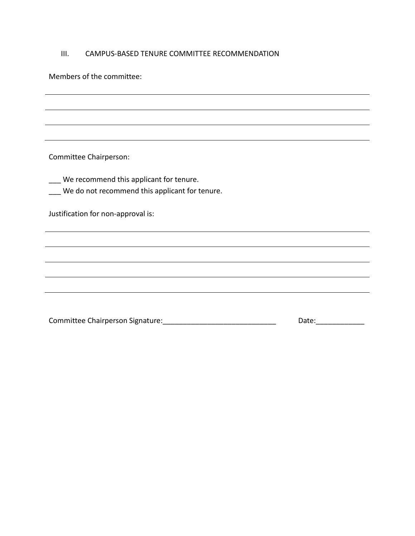## III. CAMPUS-BASED TENURE COMMITTEE RECOMMENDATION

Members of the committee:

Committee Chairperson:

\_\_\_ We recommend this applicant for tenure.

|  | We do not recommend this applicant for tenure. |  |  |
|--|------------------------------------------------|--|--|
|  |                                                |  |  |

Justification for non-approval is:

| Committee Chairperson Signature: | Date: |
|----------------------------------|-------|
|----------------------------------|-------|